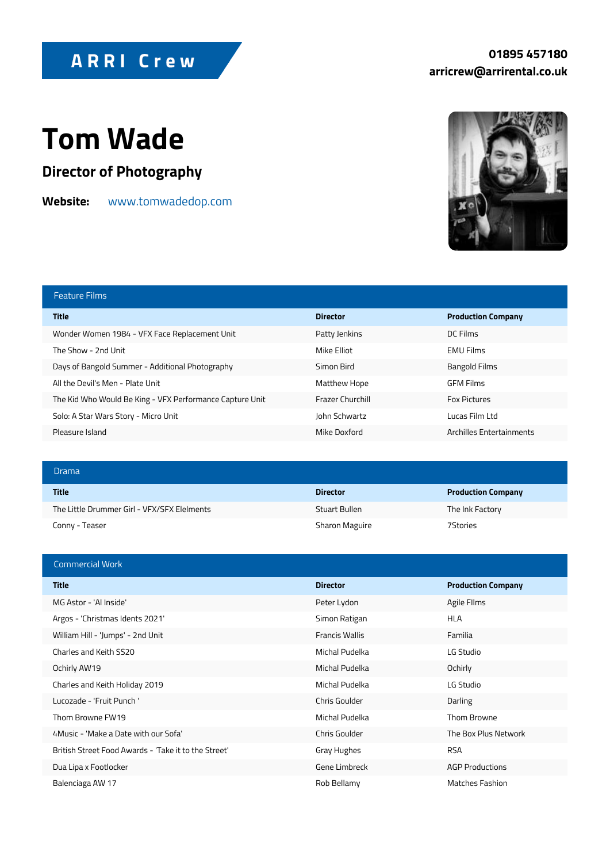## Tom Wade

Director of Photography

## Websitewww.tomwadedop.com

| Feature Films                                            |               |                      |
|----------------------------------------------------------|---------------|----------------------|
| Title                                                    | Director      | Production Company   |
| Wonder Women 1984 - VFX Face Replacem Patty Jenkins      |               | DC Films             |
| The Show - 2nd Unit                                      | Mike Elliot   | EMU Films            |
| Days of Bangold Summer - Additional Phot Simon Bird      |               | Bangold Films        |
| All the Devil's Men - Plate Unit                         | Matthew Hope  | GFM Films            |
| The Kid Who Would Be King - VFX Perform Frazer Churchill |               | Fox Pictures         |
| Solo: A Star Wars Story - Micro Unit                     | John Schwartz | Lucas Film Ltd       |
| Pleasure Island                                          | Mike Doxford  | Archilles Entertainm |

| Drama                                                  |                |                    |
|--------------------------------------------------------|----------------|--------------------|
| Title                                                  | Director       | Production Company |
| The Little Drummer Girl - VFX/SFX Elelme Stuart Bullen |                | The Ink Factory    |
| Conny – Teaser                                         | Sharon Maguire | 7 Stories          |

| Commercial Work                                             |                |                    |
|-------------------------------------------------------------|----------------|--------------------|
| Title                                                       | Director       | Production Company |
| MG Astor - 'Al Inside'                                      | Peter Lydon    | Agile Fllms        |
| Argos - 'Christmas Idents 2021'                             | Simon Ratigan  | HLA                |
| William Hill - 'Jumps' - 2nd Unit                           | Francis Wallis | Familia            |
| Charles and Keith SS20                                      | Michal Pudelka | LG Studio          |
| Ochirly AW19                                                | Michal Pudelka | Ochirly            |
| Charles and Keith Holiday 2019                              | Michal Pudelka | LG Studio          |
| Lucozade - 'Fruit Punch'                                    | Chris Goulder  | Darling            |
| Thom Browne FW19                                            | Michal Pudelka | Thom Browne        |
| 4 Music - 'Make a Date with our Sofa'                       | Chris Goulder  | The Box Plus Netwo |
| British Street Food Awards - 'Take it to the Gstageht'ughes |                | <b>RSA</b>         |
| Dua Lipa x Footlocker                                       | Gene Limbreck  | AGP Productions    |
| Balenciaga AW 17                                            | Rob Bellamy    | Matches Fashion    |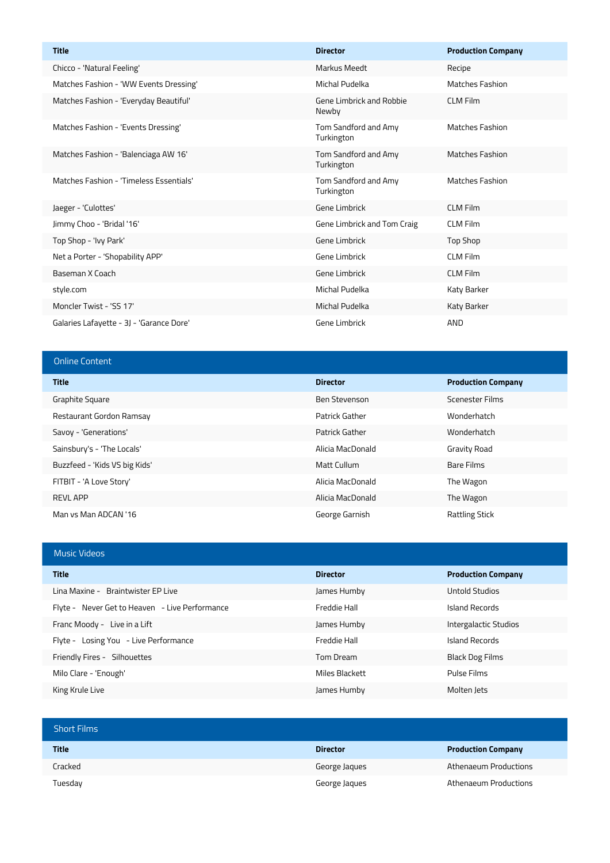| <b>Title</b>                             | <b>Director</b>                    | <b>Production Company</b> |
|------------------------------------------|------------------------------------|---------------------------|
| Chicco - 'Natural Feeling'               | <b>Markus Meedt</b>                | Recipe                    |
| Matches Fashion - 'WW Events Dressing'   | Michal Pudelka                     | <b>Matches Fashion</b>    |
| Matches Fashion - 'Everyday Beautiful'   | Gene Limbrick and Robbie<br>Newby  | <b>CLM Film</b>           |
| Matches Fashion - 'Events Dressing'      | Tom Sandford and Amy<br>Turkington | <b>Matches Fashion</b>    |
| Matches Fashion - 'Balenciaga AW 16'     | Tom Sandford and Amy<br>Turkington | <b>Matches Fashion</b>    |
| Matches Fashion - 'Timeless Essentials'  | Tom Sandford and Amy<br>Turkington | <b>Matches Fashion</b>    |
| Jaeger - 'Culottes'                      | Gene Limbrick                      | <b>CLM Film</b>           |
| Jimmy Choo - 'Bridal '16'                | Gene Limbrick and Tom Craig        | <b>CLM Film</b>           |
| Top Shop - 'Ivy Park'                    | Gene Limbrick                      | Top Shop                  |
| Net a Porter - 'Shopability APP'         | Gene Limbrick                      | <b>CLM Film</b>           |
| Baseman X Coach                          | Gene Limbrick                      | <b>CLM Film</b>           |
| style.com                                | Michal Pudelka                     | Katy Barker               |
| Moncler Twist - 'SS 17'                  | Michal Pudelka                     | Katy Barker               |
| Galaries Lafayette - 3J - 'Garance Dore' | Gene Limbrick                      | <b>AND</b>                |

## Online Content **Title Director Production Company** Graphite Square Graphite Square Ben Stevenson Ben Stevenson Scenester Films Restaurant Gordon Ramsay **Patrick Gather Wonderhatch** Patrick Gather Wonderhatch Savoy - 'Generations' Patrick Gather Wonderhatch Sainsbury's - 'The Locals' and the Community Community Alicia MacDonald Gravity Road Buzzfeed - 'Kids VS big Kids' Matt Cullum Bare Films FITBIT - 'A Love Story' Alicia MacDonald The Wagon

| $T11111 - A L012$    | Alicia MacDullaiu | THE WARDLE     |
|----------------------|-------------------|----------------|
| REVL APP             | Alicia MacDonald  | The Wagon      |
| Man vs Man ADCAN '16 | George Garnish    | Rattling Stick |

| <b>Music Videos</b>                            |                 |                           |
|------------------------------------------------|-----------------|---------------------------|
| <b>Title</b>                                   | <b>Director</b> | <b>Production Company</b> |
| Lina Maxine - Braintwister EP Live             | James Humby     | Untold Studios            |
| Flyte - Never Get to Heaven - Live Performance | Freddie Hall    | Island Records            |
| Franc Moody - Live in a Lift                   | James Humby     | Intergalactic Studios     |
| Flyte - Losing You - Live Performance          | Freddie Hall    | Island Records            |
| Friendly Fires - Silhouettes                   | Tom Dream       | Black Dog Films           |
| Milo Clare - 'Enough'                          | Miles Blackett  | Pulse Films               |
| King Krule Live                                | James Humby     | Molten lets               |

| <b>Short Films</b> |                 |                           |
|--------------------|-----------------|---------------------------|
| <b>Title</b>       | <b>Director</b> | <b>Production Company</b> |
| Cracked            | George Jaques   | Athenaeum Productions     |
| Tuesday            | George Jaques   | Athenaeum Productions     |